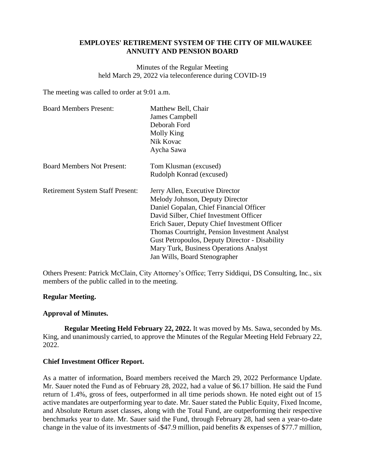# **EMPLOYES' RETIREMENT SYSTEM OF THE CITY OF MILWAUKEE ANNUITY AND PENSION BOARD**

Minutes of the Regular Meeting held March 29, 2022 via teleconference during COVID-19

The meeting was called to order at 9:01 a.m.

| <b>Board Members Present:</b>           | Matthew Bell, Chair                                   |
|-----------------------------------------|-------------------------------------------------------|
|                                         | James Campbell                                        |
|                                         | Deborah Ford                                          |
|                                         | Molly King                                            |
|                                         | Nik Kovac                                             |
|                                         | Aycha Sawa                                            |
| <b>Board Members Not Present:</b>       | Tom Klusman (excused)                                 |
|                                         | Rudolph Konrad (excused)                              |
| <b>Retirement System Staff Present:</b> | Jerry Allen, Executive Director                       |
|                                         | Melody Johnson, Deputy Director                       |
|                                         | Daniel Gopalan, Chief Financial Officer               |
|                                         | David Silber, Chief Investment Officer                |
|                                         | Erich Sauer, Deputy Chief Investment Officer          |
|                                         | Thomas Courtright, Pension Investment Analyst         |
|                                         | <b>Gust Petropoulos, Deputy Director - Disability</b> |
|                                         | Mary Turk, Business Operations Analyst                |
|                                         | Jan Wills, Board Stenographer                         |

Others Present: Patrick McClain, City Attorney's Office; Terry Siddiqui, DS Consulting, Inc., six members of the public called in to the meeting.

## **Regular Meeting.**

## **Approval of Minutes.**

**Regular Meeting Held February 22, 2022.** It was moved by Ms. Sawa, seconded by Ms. King, and unanimously carried, to approve the Minutes of the Regular Meeting Held February 22, 2022.

## **Chief Investment Officer Report.**

As a matter of information, Board members received the March 29, 2022 Performance Update. Mr. Sauer noted the Fund as of February 28, 2022, had a value of \$6.17 billion. He said the Fund return of 1.4%, gross of fees, outperformed in all time periods shown. He noted eight out of 15 active mandates are outperforming year to date. Mr. Sauer stated the Public Equity, Fixed Income, and Absolute Return asset classes, along with the Total Fund, are outperforming their respective benchmarks year to date. Mr. Sauer said the Fund, through February 28, had seen a year-to-date change in the value of its investments of -\$47.9 million, paid benefits & expenses of \$77.7 million,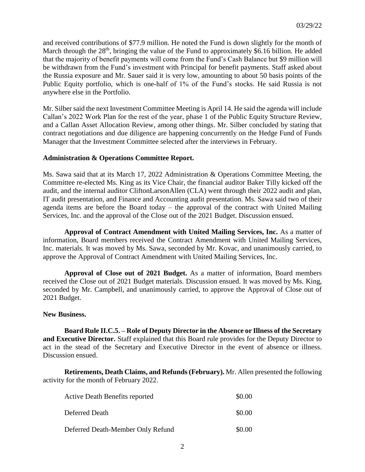and received contributions of \$77.9 million. He noted the Fund is down slightly for the month of March through the  $28<sup>th</sup>$ , bringing the value of the Fund to approximately \$6.16 billion. He added that the majority of benefit payments will come from the Fund's Cash Balance but \$9 million will be withdrawn from the Fund's investment with Principal for benefit payments. Staff asked about the Russia exposure and Mr. Sauer said it is very low, amounting to about 50 basis points of the Public Equity portfolio, which is one-half of 1% of the Fund's stocks. He said Russia is not anywhere else in the Portfolio.

Mr. Silber said the next Investment Committee Meeting is April 14. He said the agenda will include Callan's 2022 Work Plan for the rest of the year, phase 1 of the Public Equity Structure Review, and a Callan Asset Allocation Review, among other things. Mr. Silber concluded by stating that contract negotiations and due diligence are happening concurrently on the Hedge Fund of Funds Manager that the Investment Committee selected after the interviews in February.

### **Administration & Operations Committee Report.**

Ms. Sawa said that at its March 17, 2022 Administration & Operations Committee Meeting, the Committee re-elected Ms. King as its Vice Chair, the financial auditor Baker Tilly kicked off the audit, and the internal auditor CliftonLarsonAllen (CLA) went through their 2022 audit and plan, IT audit presentation, and Finance and Accounting audit presentation. Ms. Sawa said two of their agenda items are before the Board today – the approval of the contract with United Mailing Services, Inc. and the approval of the Close out of the 2021 Budget. Discussion ensued.

**Approval of Contract Amendment with United Mailing Services, Inc.** As a matter of information, Board members received the Contract Amendment with United Mailing Services, Inc. materials. It was moved by Ms. Sawa, seconded by Mr. Kovac, and unanimously carried, to approve the Approval of Contract Amendment with United Mailing Services, Inc.

**Approval of Close out of 2021 Budget.** As a matter of information, Board members received the Close out of 2021 Budget materials. Discussion ensued. It was moved by Ms. King, seconded by Mr. Campbell, and unanimously carried, to approve the Approval of Close out of 2021 Budget.

#### **New Business.**

**Board Rule II.C.5. – Role of Deputy Director in the Absence or Illness of the Secretary and Executive Director.** Staff explained that this Board rule provides for the Deputy Director to act in the stead of the Secretary and Executive Director in the event of absence or illness. Discussion ensued.

**Retirements, Death Claims, and Refunds (February).** Mr. Allen presented the following activity for the month of February 2022.

| <b>Active Death Benefits reported</b> | \$0.00 |
|---------------------------------------|--------|
| Deferred Death                        | \$0.00 |
| Deferred Death-Member Only Refund     | \$0.00 |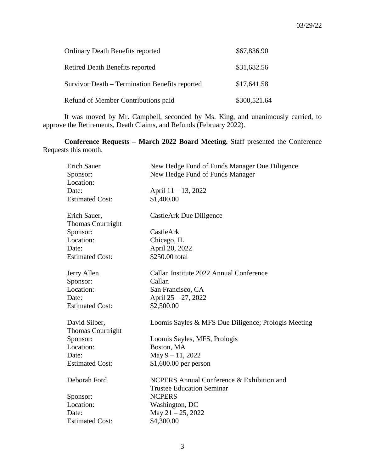| <b>Ordinary Death Benefits reported</b>        | \$67,836.90  |
|------------------------------------------------|--------------|
| <b>Retired Death Benefits reported</b>         | \$31,682.56  |
| Survivor Death – Termination Benefits reported | \$17,641.58  |
| <b>Refund of Member Contributions paid</b>     | \$300,521.64 |

It was moved by Mr. Campbell, seconded by Ms. King, and unanimously carried, to approve the Retirements, Death Claims, and Refunds (February 2022).

**Conference Requests – March 2022 Board Meeting.** Staff presented the Conference Requests this month.

| <b>Erich Sauer</b>       | New Hedge Fund of Funds Manager Due Diligence       |
|--------------------------|-----------------------------------------------------|
| Sponsor:                 | New Hedge Fund of Funds Manager                     |
| Location:                |                                                     |
| Date:                    | April $11 - 13$ , 2022                              |
| <b>Estimated Cost:</b>   | \$1,400.00                                          |
| Erich Sauer,             | CastleArk Due Diligence                             |
| <b>Thomas Courtright</b> |                                                     |
| Sponsor:                 | CastleArk                                           |
| Location:                | Chicago, IL                                         |
| Date:                    | April 20, 2022                                      |
| <b>Estimated Cost:</b>   | \$250.00 total                                      |
|                          |                                                     |
| Jerry Allen              | Callan Institute 2022 Annual Conference             |
| Sponsor:                 | Callan                                              |
| Location:                | San Francisco, CA                                   |
| Date:                    | April $25 - 27$ , 2022                              |
| <b>Estimated Cost:</b>   | \$2,500.00                                          |
| David Silber,            | Loomis Sayles & MFS Due Diligence; Prologis Meeting |
| Thomas Courtright        |                                                     |
| Sponsor:                 | Loomis Sayles, MFS, Prologis                        |
| Location:                | Boston, MA                                          |
| Date:                    | May $9 - 11$ , 2022                                 |
| <b>Estimated Cost:</b>   | $$1,600.00$ per person                              |
|                          |                                                     |
| Deborah Ford             | NCPERS Annual Conference & Exhibition and           |
|                          | <b>Trustee Education Seminar</b>                    |
| Sponsor:                 | <b>NCPERS</b>                                       |
| Location:                | Washington, DC                                      |
| Date:                    | May 21-25, 2022                                     |
| <b>Estimated Cost:</b>   | \$4,300.00                                          |
|                          |                                                     |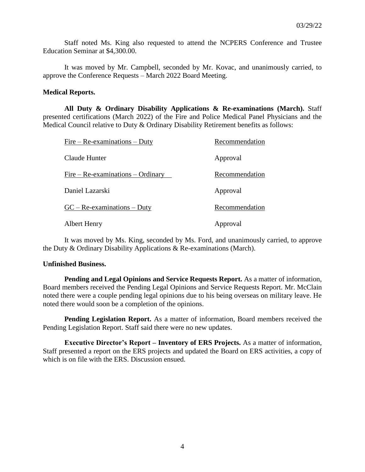Staff noted Ms. King also requested to attend the NCPERS Conference and Trustee Education Seminar at \$4,300.00.

It was moved by Mr. Campbell, seconded by Mr. Kovac, and unanimously carried, to approve the Conference Requests – March 2022 Board Meeting.

### **Medical Reports.**

**All Duty & Ordinary Disability Applications & Re-examinations (March).** Staff presented certifications (March 2022) of the Fire and Police Medical Panel Physicians and the Medical Council relative to Duty & Ordinary Disability Retirement benefits as follows:

| Fire – Re-examinations – Duty            | Recommendation |
|------------------------------------------|----------------|
| Claude Hunter                            | Approval       |
| <u>Fire – Re-examinations – Ordinary</u> | Recommendation |
| Daniel Lazarski                          | Approval       |
| $GC - Re-examinations - Duty$            | Recommendation |
| Albert Henry                             | Approval       |

It was moved by Ms. King, seconded by Ms. Ford, and unanimously carried, to approve the Duty & Ordinary Disability Applications & Re-examinations (March).

## **Unfinished Business.**

**Pending and Legal Opinions and Service Requests Report.** As a matter of information, Board members received the Pending Legal Opinions and Service Requests Report. Mr. McClain noted there were a couple pending legal opinions due to his being overseas on military leave. He noted there would soon be a completion of the opinions.

**Pending Legislation Report.** As a matter of information, Board members received the Pending Legislation Report. Staff said there were no new updates.

**Executive Director's Report – Inventory of ERS Projects.** As a matter of information, Staff presented a report on the ERS projects and updated the Board on ERS activities, a copy of which is on file with the ERS. Discussion ensued.